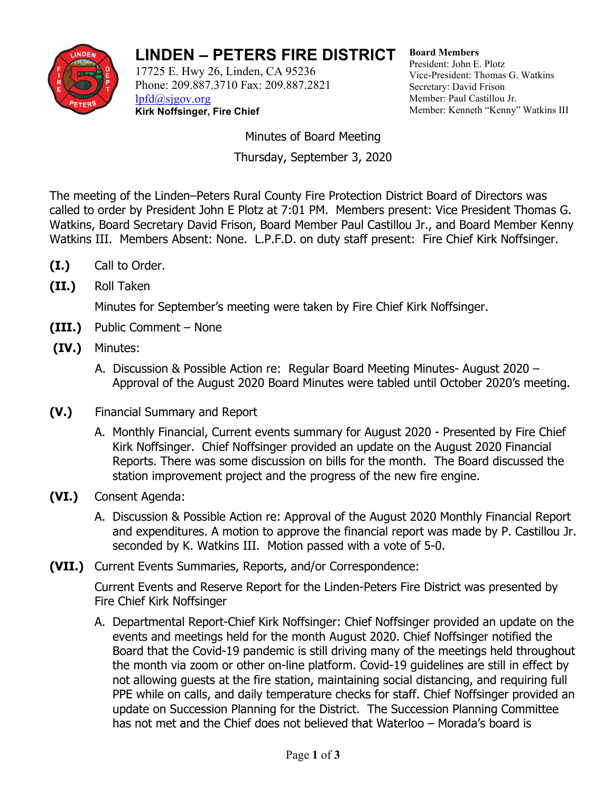

## **LINDEN – PETERS FIRE DISTRICT**

17725 E. Hwy 26, Linden, CA 95236 Phone: 209.887.3710 Fax: 209.887.2821 [lpfd@sjgov.org](mailto:lpfd@sjgov.org) **Kirk Noffsinger, Fire Chief**

**Board Members** President: John E. Plotz Vice-President: Thomas G. Watkins Secretary: David Frison Member: Paul Castillou Jr. Member: Kenneth "Kenny" Watkins III

Minutes of Board Meeting Thursday, September 3, 2020

The meeting of the Linden–Peters Rural County Fire Protection District Board of Directors was called to order by President John E Plotz at 7:01 PM. Members present: Vice President Thomas G. Watkins, Board Secretary David Frison, Board Member Paul Castillou Jr., and Board Member Kenny Watkins III. Members Absent: None. L.P.F.D. on duty staff present: Fire Chief Kirk Noffsinger.

- **(I.)** Call to Order.
- **(II.)** Roll Taken

Minutes for September's meeting were taken by Fire Chief Kirk Noffsinger.

- **(III.)** Public Comment None
- **(IV.)** Minutes:
	- A. Discussion & Possible Action re: Regular Board Meeting Minutes- August 2020 Approval of the August 2020 Board Minutes were tabled until October 2020's meeting.
- **(V.)** Financial Summary and Report
	- A. Monthly Financial, Current events summary for August 2020 Presented by Fire Chief Kirk Noffsinger. Chief Noffsinger provided an update on the August 2020 Financial Reports. There was some discussion on bills for the month. The Board discussed the station improvement project and the progress of the new fire engine.
- **(VI.)** Consent Agenda:
	- A. Discussion & Possible Action re: Approval of the August 2020 Monthly Financial Report and expenditures. A motion to approve the financial report was made by P. Castillou Jr. seconded by K. Watkins III. Motion passed with a vote of 5-0.
- **(VII.)** Current Events Summaries, Reports, and/or Correspondence:

Current Events and Reserve Report for the Linden-Peters Fire District was presented by Fire Chief Kirk Noffsinger

A. Departmental Report-Chief Kirk Noffsinger: Chief Noffsinger provided an update on the events and meetings held for the month August 2020. Chief Noffsinger notified the Board that the Covid-19 pandemic is still driving many of the meetings held throughout the month via zoom or other on-line platform. Covid-19 guidelines are still in effect by not allowing guests at the fire station, maintaining social distancing, and requiring full PPE while on calls, and daily temperature checks for staff. Chief Noffsinger provided an update on Succession Planning for the District. The Succession Planning Committee has not met and the Chief does not believed that Waterloo – Morada's board is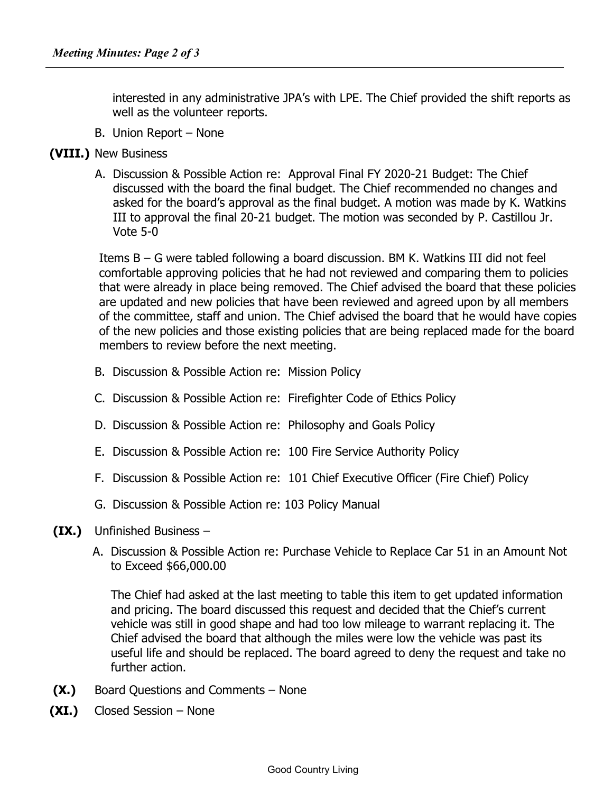interested in any administrative JPA's with LPE. The Chief provided the shift reports as well as the volunteer reports.

- B. Union Report None
- **(VIII.)** New Business
	- A. Discussion & Possible Action re: Approval Final FY 2020-21 Budget: The Chief discussed with the board the final budget. The Chief recommended no changes and asked for the board's approval as the final budget. A motion was made by K. Watkins III to approval the final 20-21 budget. The motion was seconded by P. Castillou Jr. Vote 5-0

Items B – G were tabled following a board discussion. BM K. Watkins III did not feel comfortable approving policies that he had not reviewed and comparing them to policies that were already in place being removed. The Chief advised the board that these policies are updated and new policies that have been reviewed and agreed upon by all members of the committee, staff and union. The Chief advised the board that he would have copies of the new policies and those existing policies that are being replaced made for the board members to review before the next meeting.

- B. Discussion & Possible Action re: Mission Policy
- C. Discussion & Possible Action re: Firefighter Code of Ethics Policy
- D. Discussion & Possible Action re: Philosophy and Goals Policy
- E. Discussion & Possible Action re: 100 Fire Service Authority Policy
- F. Discussion & Possible Action re: 101 Chief Executive Officer (Fire Chief) Policy
- G. Discussion & Possible Action re: 103 Policy Manual
- **(IX.)** Unfinished Business
	- A. Discussion & Possible Action re: Purchase Vehicle to Replace Car 51 in an Amount Not to Exceed \$66,000.00

The Chief had asked at the last meeting to table this item to get updated information and pricing. The board discussed this request and decided that the Chief's current vehicle was still in good shape and had too low mileage to warrant replacing it. The Chief advised the board that although the miles were low the vehicle was past its useful life and should be replaced. The board agreed to deny the request and take no further action.

- **(X.)** Board Questions and Comments None
- **(XI.)** Closed Session None